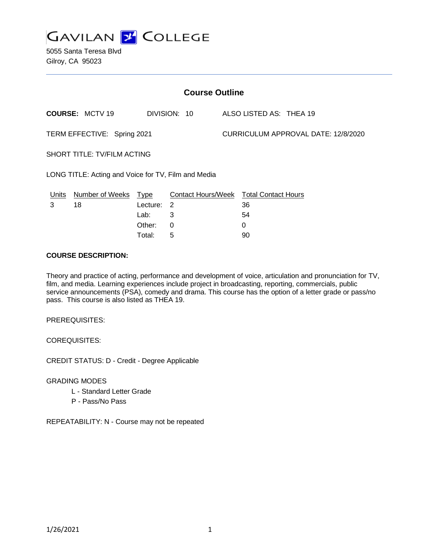

5055 Santa Teresa Blvd Gilroy, CA 95023

| <b>Course Outline</b>                               |                        |            |                                               |  |                                     |  |  |
|-----------------------------------------------------|------------------------|------------|-----------------------------------------------|--|-------------------------------------|--|--|
|                                                     | <b>COURSE: MCTV 19</b> |            | DIVISION: 10                                  |  | ALSO LISTED AS: THEA 19             |  |  |
| TERM EFFECTIVE: Spring 2021                         |                        |            |                                               |  | CURRICULUM APPROVAL DATE: 12/8/2020 |  |  |
| SHORT TITLE: TV/FILM ACTING                         |                        |            |                                               |  |                                     |  |  |
| LONG TITLE: Acting and Voice for TV, Film and Media |                        |            |                                               |  |                                     |  |  |
| <u>Units</u>                                        | Number of Weeks Type   |            | <b>Contact Hours/Week Total Contact Hours</b> |  |                                     |  |  |
| 3                                                   | 18                     | Lecture: 2 |                                               |  | 36                                  |  |  |
|                                                     |                        | Lab:       | 3                                             |  | 54                                  |  |  |
|                                                     |                        | Other:     | 0                                             |  | 0                                   |  |  |
|                                                     |                        | Total:     | 5                                             |  | 90                                  |  |  |

#### **COURSE DESCRIPTION:**

Theory and practice of acting, performance and development of voice, articulation and pronunciation for TV, film, and media. Learning experiences include project in broadcasting, reporting, commercials, public service announcements (PSA), comedy and drama. This course has the option of a letter grade or pass/no pass. This course is also listed as THEA 19.

PREREQUISITES:

COREQUISITES:

CREDIT STATUS: D - Credit - Degree Applicable

GRADING MODES

- L Standard Letter Grade
- P Pass/No Pass

REPEATABILITY: N - Course may not be repeated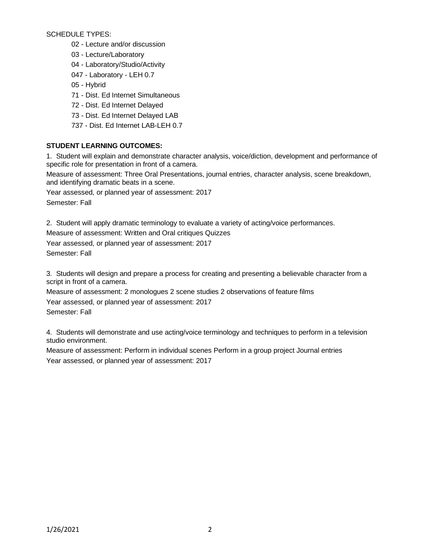SCHEDULE TYPES:

- 02 Lecture and/or discussion
- 03 Lecture/Laboratory
- 04 Laboratory/Studio/Activity
- 047 Laboratory LEH 0.7
- 05 Hybrid
- 71 Dist. Ed Internet Simultaneous
- 72 Dist. Ed Internet Delayed
- 73 Dist. Ed Internet Delayed LAB
- 737 Dist. Ed Internet LAB-LEH 0.7

# **STUDENT LEARNING OUTCOMES:**

1. Student will explain and demonstrate character analysis, voice/diction, development and performance of specific role for presentation in front of a camera.

Measure of assessment: Three Oral Presentations, journal entries, character analysis, scene breakdown, and identifying dramatic beats in a scene.

Year assessed, or planned year of assessment: 2017 Semester: Fall

2. Student will apply dramatic terminology to evaluate a variety of acting/voice performances.

Measure of assessment: Written and Oral critiques Quizzes

Year assessed, or planned year of assessment: 2017 Semester: Fall

3. Students will design and prepare a process for creating and presenting a believable character from a script in front of a camera.

Measure of assessment: 2 monologues 2 scene studies 2 observations of feature films Year assessed, or planned year of assessment: 2017 Semester: Fall

4. Students will demonstrate and use acting/voice terminology and techniques to perform in a television studio environment.

Measure of assessment: Perform in individual scenes Perform in a group project Journal entries Year assessed, or planned year of assessment: 2017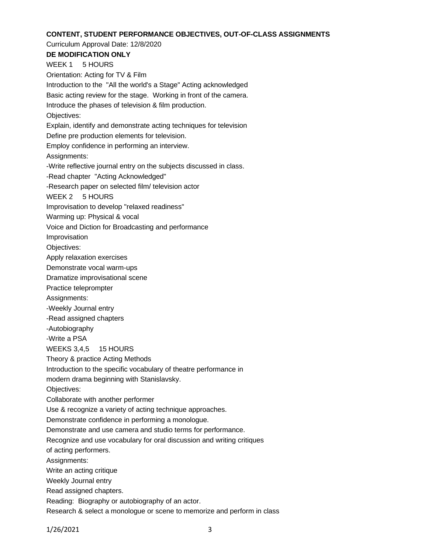#### **CONTENT, STUDENT PERFORMANCE OBJECTIVES, OUT-OF-CLASS ASSIGNMENTS**

Curriculum Approval Date: 12/8/2020 **DE MODIFICATION ONLY** WEEK 1 5 HOURS Orientation: Acting for TV & Film Introduction to the "All the world's a Stage" Acting acknowledged Basic acting review for the stage. Working in front of the camera. Introduce the phases of television & film production. Objectives: Explain, identify and demonstrate acting techniques for television Define pre production elements for television. Employ confidence in performing an interview. Assignments: -Write reflective journal entry on the subjects discussed in class. -Read chapter "Acting Acknowledged" -Research paper on selected film/ television actor WEEK 2 5 HOURS Improvisation to develop "relaxed readiness" Warming up: Physical & vocal Voice and Diction for Broadcasting and performance Improvisation Objectives: Apply relaxation exercises Demonstrate vocal warm-ups Dramatize improvisational scene Practice teleprompter Assignments: -Weekly Journal entry -Read assigned chapters -Autobiography -Write a PSA WEEKS 3,4,5 15 HOURS Theory & practice Acting Methods Introduction to the specific vocabulary of theatre performance in modern drama beginning with Stanislavsky. Objectives: Collaborate with another performer Use & recognize a variety of acting technique approaches. Demonstrate confidence in performing a monologue.

Demonstrate and use camera and studio terms for performance.

Recognize and use vocabulary for oral discussion and writing critiques

of acting performers.

Assignments:

Write an acting critique

Weekly Journal entry

Read assigned chapters.

Reading: Biography or autobiography of an actor.

Research & select a monologue or scene to memorize and perform in class

1/26/2021 3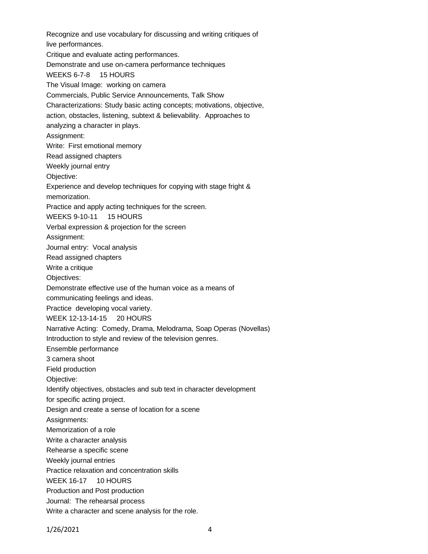Recognize and use vocabulary for discussing and writing critiques of live performances. Critique and evaluate acting performances. Demonstrate and use on-camera performance techniques WEEKS 6-7-8 15 HOURS The Visual Image: working on camera Commercials, Public Service Announcements, Talk Show Characterizations: Study basic acting concepts; motivations, objective, action, obstacles, listening, subtext & believability. Approaches to analyzing a character in plays. Assignment: Write: First emotional memory Read assigned chapters Weekly journal entry Objective: Experience and develop techniques for copying with stage fright & memorization. Practice and apply acting techniques for the screen. WEEKS 9-10-11 15 HOURS Verbal expression & projection for the screen Assignment: Journal entry: Vocal analysis Read assigned chapters Write a critique Objectives: Demonstrate effective use of the human voice as a means of communicating feelings and ideas. Practice developing vocal variety. WEEK 12-13-14-15 20 HOURS Narrative Acting: Comedy, Drama, Melodrama, Soap Operas (Novellas) Introduction to style and review of the television genres. Ensemble performance 3 camera shoot Field production Objective: Identify objectives, obstacles and sub text in character development for specific acting project. Design and create a sense of location for a scene Assignments: Memorization of a role Write a character analysis Rehearse a specific scene Weekly journal entries Practice relaxation and concentration skills WEEK 16-17 10 HOURS Production and Post production Journal: The rehearsal process Write a character and scene analysis for the role.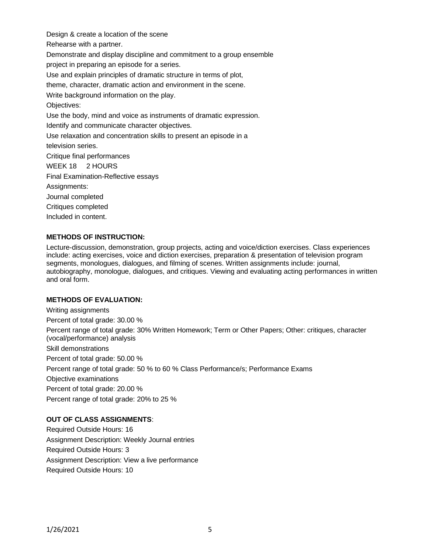Design & create a location of the scene Rehearse with a partner. Demonstrate and display discipline and commitment to a group ensemble project in preparing an episode for a series. Use and explain principles of dramatic structure in terms of plot, theme, character, dramatic action and environment in the scene. Write background information on the play. Objectives: Use the body, mind and voice as instruments of dramatic expression. Identify and communicate character objectives. Use relaxation and concentration skills to present an episode in a television series. Critique final performances WEEK 18 2 HOURS Final Examination-Reflective essays Assignments: Journal completed Critiques completed Included in content.

#### **METHODS OF INSTRUCTION:**

Lecture-discussion, demonstration, group projects, acting and voice/diction exercises. Class experiences include: acting exercises, voice and diction exercises, preparation & presentation of television program segments, monologues, dialogues, and filming of scenes. Written assignments include: journal, autobiography, monologue, dialogues, and critiques. Viewing and evaluating acting performances in written and oral form.

#### **METHODS OF EVALUATION:**

Writing assignments Percent of total grade: 30.00 % Percent range of total grade: 30% Written Homework; Term or Other Papers; Other: critiques, character (vocal/performance) analysis Skill demonstrations Percent of total grade: 50.00 % Percent range of total grade: 50 % to 60 % Class Performance/s; Performance Exams Objective examinations Percent of total grade: 20.00 % Percent range of total grade: 20% to 25 %

# **OUT OF CLASS ASSIGNMENTS**:

Required Outside Hours: 16 Assignment Description: Weekly Journal entries Required Outside Hours: 3 Assignment Description: View a live performance Required Outside Hours: 10